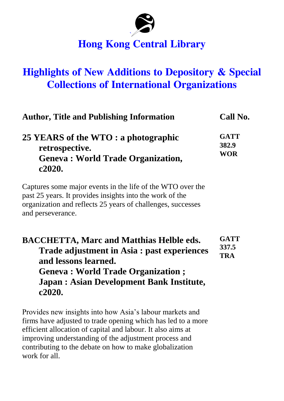

## **Hong Kong Central Library**

## **Highlights of New Additions to Depository & Special Collections of International Organizations**

| <b>Author, Title and Publishing Information</b>                                                                                                                                                                            | Call No.                           |
|----------------------------------------------------------------------------------------------------------------------------------------------------------------------------------------------------------------------------|------------------------------------|
| 25 YEARS of the WTO : a photographic<br>retrospective.<br><b>Geneva: World Trade Organization,</b><br>c2020.                                                                                                               | <b>GATT</b><br>382.9<br><b>WOR</b> |
| Captures some major events in the life of the WTO over the<br>past 25 years. It provides insights into the work of the<br>organization and reflects 25 years of challenges, successes<br>and perseverance.                 |                                    |
| <b>BACCHETTA, Marc and Matthias Helble eds.</b><br>Trade adjustment in Asia : past experiences<br>and lessons learned.<br>Geneva : World Trade Organization ;<br><b>Japan: Asian Development Bank Institute,</b><br>c2020. | <b>GATT</b><br>337.5<br><b>TRA</b> |

Provides new insights into how Asia's labour markets and firms have adjusted to trade opening which has led to a more efficient allocation of capital and labour. It also aims at improving understanding of the adjustment process and contributing to the debate on how to make globalization work for all.